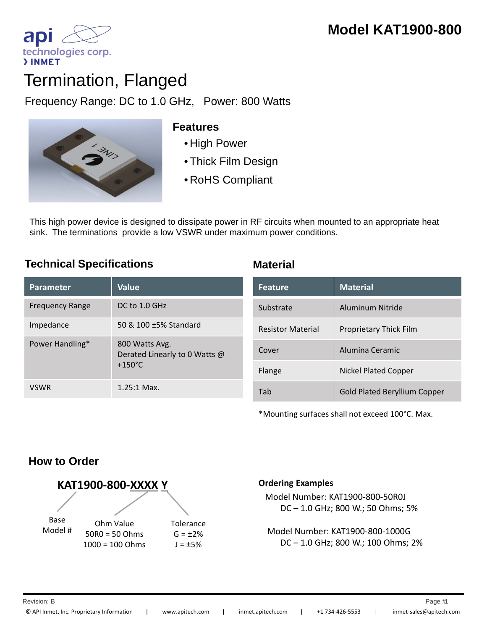technologies corp. **>INMET** 

ap

Frequency Range: DC to 1.0 GHz, Power: 800 Watts



## **Features**

- 
- Thick Film Design
- RoHS Compliant

This high power device is designed to dissipate power in RF circuits when mounted to an appropriate heat sink. The terminations provide a low VSWR under maximum power conditions.

# **Technical Specifications Material**

| <b>Parameter</b>       | <b>Value</b>                                                        |
|------------------------|---------------------------------------------------------------------|
| <b>Frequency Range</b> | $DC$ to 1.0 GHz                                                     |
| Impedance              | 50 & 100 +5% Standard                                               |
| Power Handling*        | 800 Watts Avg.<br>Derated Linearly to 0 Watts @<br>$+150^{\circ}$ C |
| <b>VSWR</b>            | $1.25:1$ Max.                                                       |

| <b>Feature</b>           | <b>Material</b>                     |
|--------------------------|-------------------------------------|
| Substrate                | Aluminum Nitride                    |
| <b>Resistor Material</b> | <b>Proprietary Thick Film</b>       |
| Cover                    | Alumina Ceramic                     |
| Flange                   | <b>Nickel Plated Copper</b>         |
| Tah                      | <b>Gold Plated Beryllium Copper</b> |

\*Mounting surfaces shall not exceed 100°C. Max.

# **How to Order**



### **Ordering Examples**

Model Number: KAT1900‐800‐50R0J DC – 1.0 GHz; 800 W.; 50 Ohms; 5%

Model Number: KAT1900‐800‐1000G DC – 1.0 GHz; 800 W.; 100 Ohms; 2%